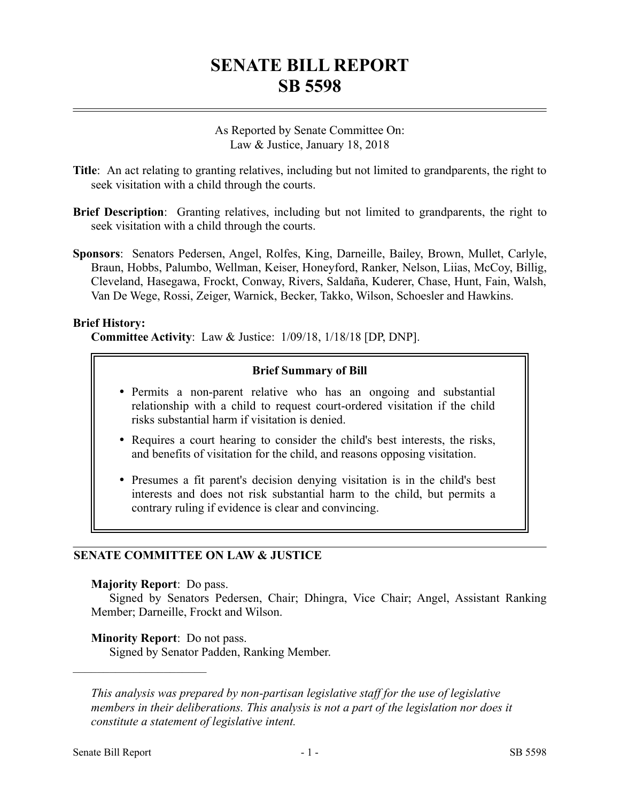# **SENATE BILL REPORT SB 5598**

As Reported by Senate Committee On: Law & Justice, January 18, 2018

- **Title**: An act relating to granting relatives, including but not limited to grandparents, the right to seek visitation with a child through the courts.
- **Brief Description**: Granting relatives, including but not limited to grandparents, the right to seek visitation with a child through the courts.
- **Sponsors**: Senators Pedersen, Angel, Rolfes, King, Darneille, Bailey, Brown, Mullet, Carlyle, Braun, Hobbs, Palumbo, Wellman, Keiser, Honeyford, Ranker, Nelson, Liias, McCoy, Billig, Cleveland, Hasegawa, Frockt, Conway, Rivers, Saldaña, Kuderer, Chase, Hunt, Fain, Walsh, Van De Wege, Rossi, Zeiger, Warnick, Becker, Takko, Wilson, Schoesler and Hawkins.

### **Brief History:**

**Committee Activity**: Law & Justice: 1/09/18, 1/18/18 [DP, DNP].

### **Brief Summary of Bill**

- Permits a non-parent relative who has an ongoing and substantial relationship with a child to request court-ordered visitation if the child risks substantial harm if visitation is denied.
- Requires a court hearing to consider the child's best interests, the risks, and benefits of visitation for the child, and reasons opposing visitation.
- Presumes a fit parent's decision denying visitation is in the child's best interests and does not risk substantial harm to the child, but permits a contrary ruling if evidence is clear and convincing.

### **SENATE COMMITTEE ON LAW & JUSTICE**

#### **Majority Report**: Do pass.

Signed by Senators Pedersen, Chair; Dhingra, Vice Chair; Angel, Assistant Ranking Member; Darneille, Frockt and Wilson.

### **Minority Report**: Do not pass.

––––––––––––––––––––––

Signed by Senator Padden, Ranking Member.

*This analysis was prepared by non-partisan legislative staff for the use of legislative members in their deliberations. This analysis is not a part of the legislation nor does it constitute a statement of legislative intent.*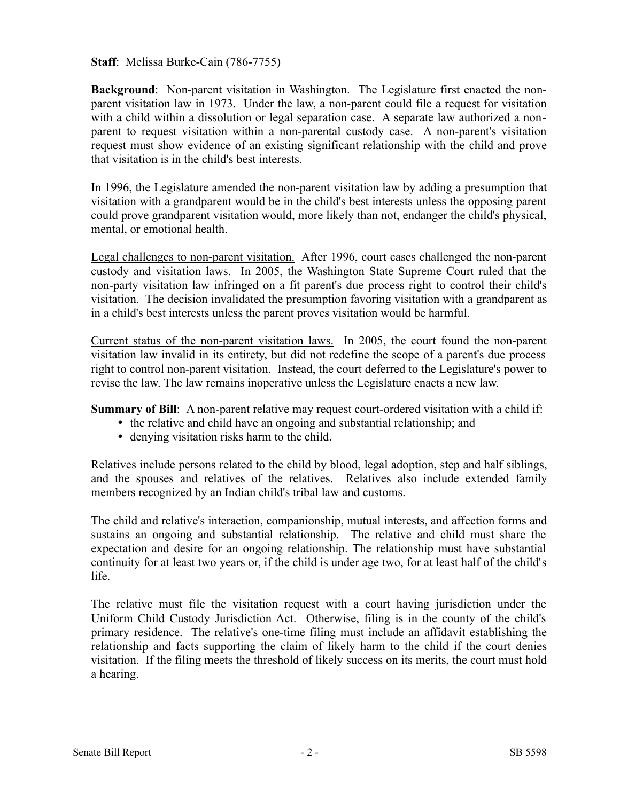**Staff**: Melissa Burke-Cain (786-7755)

**Background**: Non-parent visitation in Washington. The Legislature first enacted the nonparent visitation law in 1973. Under the law, a non-parent could file a request for visitation with a child within a dissolution or legal separation case. A separate law authorized a nonparent to request visitation within a non-parental custody case. A non-parent's visitation request must show evidence of an existing significant relationship with the child and prove that visitation is in the child's best interests.

In 1996, the Legislature amended the non-parent visitation law by adding a presumption that visitation with a grandparent would be in the child's best interests unless the opposing parent could prove grandparent visitation would, more likely than not, endanger the child's physical, mental, or emotional health.

Legal challenges to non-parent visitation. After 1996, court cases challenged the non-parent custody and visitation laws. In 2005, the Washington State Supreme Court ruled that the non-party visitation law infringed on a fit parent's due process right to control their child's visitation. The decision invalidated the presumption favoring visitation with a grandparent as in a child's best interests unless the parent proves visitation would be harmful.

Current status of the non-parent visitation laws. In 2005, the court found the non-parent visitation law invalid in its entirety, but did not redefine the scope of a parent's due process right to control non-parent visitation. Instead, the court deferred to the Legislature's power to revise the law. The law remains inoperative unless the Legislature enacts a new law.

**Summary of Bill**: A non-parent relative may request court-ordered visitation with a child if:

- the relative and child have an ongoing and substantial relationship; and
- denying visitation risks harm to the child.

Relatives include persons related to the child by blood, legal adoption, step and half siblings, and the spouses and relatives of the relatives. Relatives also include extended family members recognized by an Indian child's tribal law and customs.

The child and relative's interaction, companionship, mutual interests, and affection forms and sustains an ongoing and substantial relationship. The relative and child must share the expectation and desire for an ongoing relationship. The relationship must have substantial continuity for at least two years or, if the child is under age two, for at least half of the child's life.

The relative must file the visitation request with a court having jurisdiction under the Uniform Child Custody Jurisdiction Act. Otherwise, filing is in the county of the child's primary residence. The relative's one-time filing must include an affidavit establishing the relationship and facts supporting the claim of likely harm to the child if the court denies visitation. If the filing meets the threshold of likely success on its merits, the court must hold a hearing.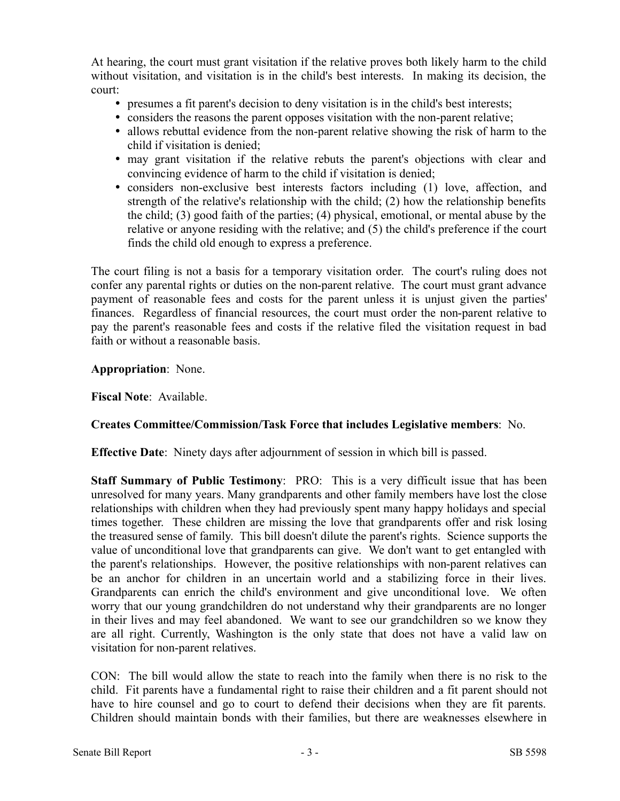At hearing, the court must grant visitation if the relative proves both likely harm to the child without visitation, and visitation is in the child's best interests. In making its decision, the court:

- presumes a fit parent's decision to deny visitation is in the child's best interests;
- considers the reasons the parent opposes visitation with the non-parent relative;
- allows rebuttal evidence from the non-parent relative showing the risk of harm to the child if visitation is denied;
- may grant visitation if the relative rebuts the parent's objections with clear and convincing evidence of harm to the child if visitation is denied;
- considers non-exclusive best interests factors including (1) love, affection, and strength of the relative's relationship with the child; (2) how the relationship benefits the child; (3) good faith of the parties; (4) physical, emotional, or mental abuse by the relative or anyone residing with the relative; and (5) the child's preference if the court finds the child old enough to express a preference.

The court filing is not a basis for a temporary visitation order. The court's ruling does not confer any parental rights or duties on the non-parent relative. The court must grant advance payment of reasonable fees and costs for the parent unless it is unjust given the parties' finances. Regardless of financial resources, the court must order the non-parent relative to pay the parent's reasonable fees and costs if the relative filed the visitation request in bad faith or without a reasonable basis.

**Appropriation**: None.

**Fiscal Note**: Available.

## **Creates Committee/Commission/Task Force that includes Legislative members**: No.

**Effective Date**: Ninety days after adjournment of session in which bill is passed.

**Staff Summary of Public Testimony**: PRO: This is a very difficult issue that has been unresolved for many years. Many grandparents and other family members have lost the close relationships with children when they had previously spent many happy holidays and special times together. These children are missing the love that grandparents offer and risk losing the treasured sense of family. This bill doesn't dilute the parent's rights. Science supports the value of unconditional love that grandparents can give. We don't want to get entangled with the parent's relationships. However, the positive relationships with non-parent relatives can be an anchor for children in an uncertain world and a stabilizing force in their lives. Grandparents can enrich the child's environment and give unconditional love. We often worry that our young grandchildren do not understand why their grandparents are no longer in their lives and may feel abandoned. We want to see our grandchildren so we know they are all right. Currently, Washington is the only state that does not have a valid law on visitation for non-parent relatives.

CON: The bill would allow the state to reach into the family when there is no risk to the child. Fit parents have a fundamental right to raise their children and a fit parent should not have to hire counsel and go to court to defend their decisions when they are fit parents. Children should maintain bonds with their families, but there are weaknesses elsewhere in